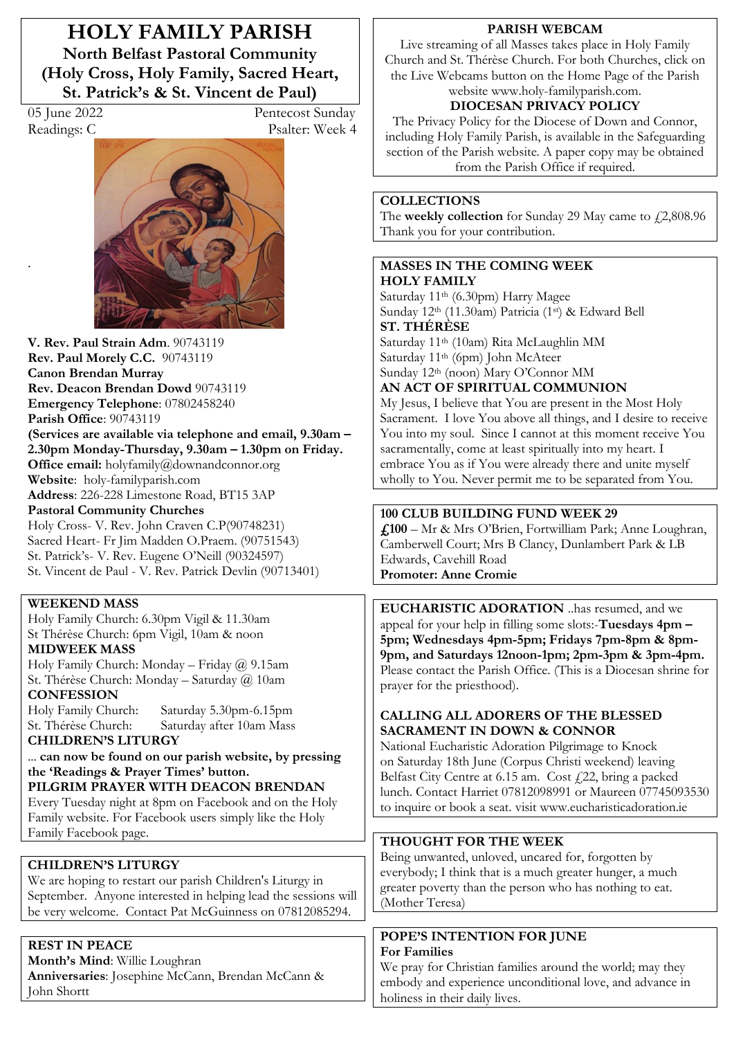**HOLY FAMILY PARISH North Belfast Pastoral Community (Holy Cross, Holy Family, Sacred Heart, St. Patrick's & St. Vincent de Paul)** 

.

05 June 2022 Pentecost Sunday Readings: C Psalter: Week 4



**V. Rev. Paul Strain Adm**. 90743119 **Rev. Paul Morely C.C.** 90743119 **Canon Brendan Murray Rev. Deacon Brendan Dowd** 90743119 **Emergency Telephone**: 07802458240 **Parish Office**: 90743119 **(Services are available via telephone and email, 9.30am – 2.30pm Monday-Thursday, 9.30am ² 1.30pm on Friday. Office email:** holyfamily@downandconnor.org **Website**: holy-familyparish.com **Address**: 226-228 Limestone Road, BT15 3AP **Pastoral Community Churches**

Holy Cross- V. Rev. John Craven C.P(90748231) Sacred Heart- Fr Jim Madden O.Praem. (90751543) St. Patrick's- V. Rev. Eugene O'Neill (90324597) St. Vincent de Paul - V. Rev. Patrick Devlin (90713401)

#### **WEEKEND MASS**

Holy Family Church: 6.30pm Vigil & 11.30am St Thérèse Church: 6pm Vigil, 10am & noon **MIDWEEK MASS**

Holy Family Church: Monday - Friday  $@$  9.15am St. Thérèse Church: Monday - Saturday @ 10am **CONFESSION**

Holy Family Church: Saturday 5.30pm-6.15pm St. Thérèse Church: Saturday after 10am Mass **CHILDREN·S LITURGY** 

... **can now be found on our parish website, by pressing**  the 'Readings & Prayer Times' button. **PILGRIM PRAYER WITH DEACON BRENDAN** Every Tuesday night at 8pm on Facebook and on the Holy

Family website. For Facebook users simply like the Holy Family Facebook page.

## **CHILDREN·S LITURGY**

We are hoping to restart our parish Children's Liturgy in September. Anyone interested in helping lead the sessions will be very welcome. Contact Pat McGuinness on 07812085294.

## **REST IN PEACE**

**Month's Mind: Willie Loughran Anniversaries**: Josephine McCann, Brendan McCann & John Shortt

#### **PARISH WEBCAM**

Live streaming of all Masses takes place in Holy Family Church and St. Thérèse Church. For both Churches, click on the Live Webcams button on the Home Page of the Parish website www.holy-familyparish.com.

# **DIOCESAN PRIVACY POLICY**

The Privacy Policy for the Diocese of Down and Connor, including Holy Family Parish, is available in the Safeguarding section of the Parish website. A paper copy may be obtained from the Parish Office if required.

## **COLLECTIONS**

The **weekly collection** for Sunday 29 May came to £2,808.96 Thank you for your contribution.

#### **MASSES IN THE COMING WEEK HOLY FAMILY**

Saturday 11th (6.30pm) Harry Magee Sunday 12th (11.30am) Patricia (1st) & Edward Bell **ST. THÉRÈSE** 

Saturday 11th (10am) Rita McLaughlin MM Saturday 11th (6pm) John McAteer Sunday 12<sup>th</sup> (noon) Mary O'Connor MM

# **AN ACT OF SPIRITUAL COMMUNION**

My Jesus, I believe that You are present in the Most Holy Sacrament. I love You above all things, and I desire to receive You into my soul. Since I cannot at this moment receive You sacramentally, come at least spiritually into my heart. I embrace You as if You were already there and unite myself wholly to You. Never permit me to be separated from You.

## **100 CLUB BUILDING FUND WEEK 29**

 $\angle$ **£100** – Mr & Mrs O'Brien, Fortwilliam Park; Anne Loughran, Camberwell Court; Mrs B Clancy, Dunlambert Park & LB Edwards, Cavehill Road **Promoter: Anne Cromie**

**EUCHARISTIC ADORATION** ..has resumed, and we appeal for your help in filling some slots:-**Tuesdays** 4pm – **5pm; Wednesdays 4pm-5pm; Fridays 7pm-8pm & 8pm-9pm, and Saturdays 12noon-1pm; 2pm-3pm & 3pm-4pm.** Please contact the Parish Office. (This is a Diocesan shrine for prayer for the priesthood).

#### **CALLING ALL ADORERS OF THE BLESSED SACRAMENT IN DOWN & CONNOR**

National Eucharistic Adoration Pilgrimage to Knock on Saturday 18th June (Corpus Christi weekend) leaving Belfast City Centre at  $6.15$  am. Cost  $f$  22, bring a packed lunch. Contact Harriet 07812098991 or Maureen 07745093530 to inquire or book a seat. visit www.eucharisticadoration.ie

## **THOUGHT FOR THE WEEK**

Being unwanted, unloved, uncared for, forgotten by everybody; I think that is a much greater hunger, a much greater poverty than the person who has nothing to eat. (Mother Teresa)

#### **POPE·S INTENTION FOR JUNE For Families**

We pray for Christian families around the world; may they embody and experience unconditional love, and advance in holiness in their daily lives.